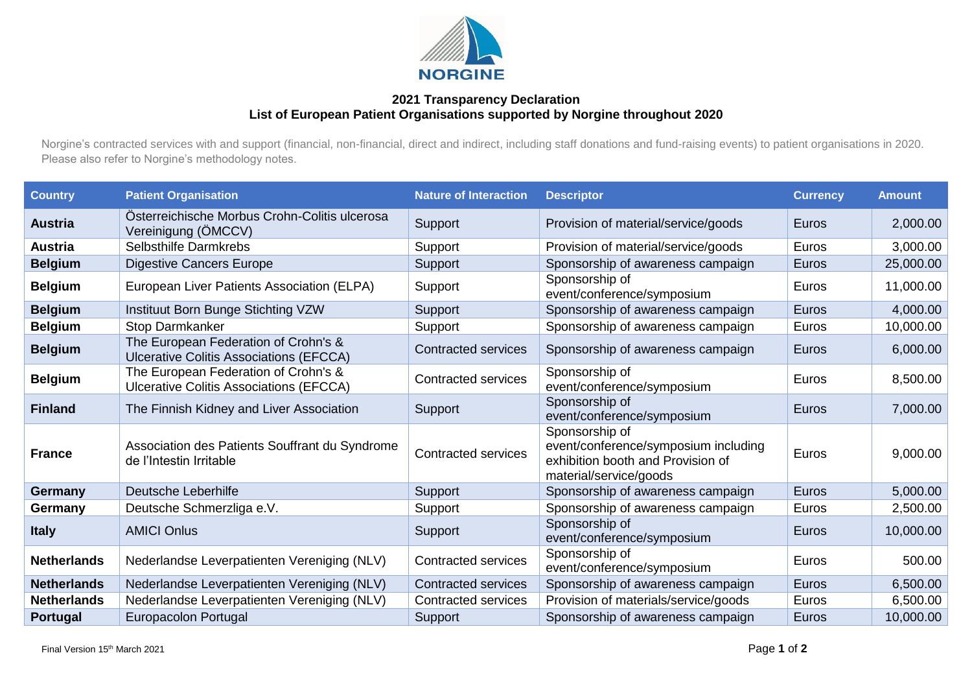

## **2021 Transparency Declaration List of European Patient Organisations supported by Norgine throughout 2020**

Norgine's contracted services with and support (financial, non-financial, direct and indirect, including staff donations and fund-raising events) to patient organisations in 2020. Please also refer to Norgine's methodology notes.

| <b>Country</b>     | <b>Patient Organisation</b>                                                            | <b>Nature of Interaction</b> | <b>Descriptor</b>                                                                                                     | <b>Currency</b> | <b>Amount</b> |
|--------------------|----------------------------------------------------------------------------------------|------------------------------|-----------------------------------------------------------------------------------------------------------------------|-----------------|---------------|
| <b>Austria</b>     | Österreichische Morbus Crohn-Colitis ulcerosa<br>Vereinigung (ÖMCCV)                   | Support                      | Provision of material/service/goods                                                                                   | Euros           | 2,000.00      |
| <b>Austria</b>     | Selbsthilfe Darmkrebs                                                                  | Support                      | Provision of material/service/goods                                                                                   | Euros           | 3,000.00      |
| <b>Belgium</b>     | <b>Digestive Cancers Europe</b>                                                        | Support                      | Sponsorship of awareness campaign                                                                                     | Euros           | 25,000.00     |
| <b>Belgium</b>     | European Liver Patients Association (ELPA)                                             | Support                      | Sponsorship of<br>event/conference/symposium                                                                          | Euros           | 11,000.00     |
| <b>Belgium</b>     | Instituut Born Bunge Stichting VZW                                                     | Support                      | Sponsorship of awareness campaign                                                                                     | Euros           | 4,000.00      |
| <b>Belgium</b>     | <b>Stop Darmkanker</b>                                                                 | Support                      | Sponsorship of awareness campaign                                                                                     | Euros           | 10,000.00     |
| <b>Belgium</b>     | The European Federation of Crohn's &<br><b>Ulcerative Colitis Associations (EFCCA)</b> | <b>Contracted services</b>   | Sponsorship of awareness campaign                                                                                     | Euros           | 6,000.00      |
| <b>Belgium</b>     | The European Federation of Crohn's &<br><b>Ulcerative Colitis Associations (EFCCA)</b> | <b>Contracted services</b>   | Sponsorship of<br>event/conference/symposium                                                                          | Euros           | 8,500.00      |
| <b>Finland</b>     | The Finnish Kidney and Liver Association                                               | Support                      | Sponsorship of<br>event/conference/symposium                                                                          | Euros           | 7,000.00      |
| <b>France</b>      | Association des Patients Souffrant du Syndrome<br>de l'Intestin Irritable              | <b>Contracted services</b>   | Sponsorship of<br>event/conference/symposium including<br>exhibition booth and Provision of<br>material/service/goods | Euros           | 9,000.00      |
| Germany            | Deutsche Leberhilfe                                                                    | Support                      | Sponsorship of awareness campaign                                                                                     | Euros           | 5,000.00      |
| Germany            | Deutsche Schmerzliga e.V.                                                              | Support                      | Sponsorship of awareness campaign                                                                                     | Euros           | 2,500.00      |
| <b>Italy</b>       | <b>AMICI Onlus</b>                                                                     | Support                      | Sponsorship of<br>event/conference/symposium                                                                          | Euros           | 10,000.00     |
| <b>Netherlands</b> | Nederlandse Leverpatienten Vereniging (NLV)                                            | <b>Contracted services</b>   | Sponsorship of<br>event/conference/symposium                                                                          | Euros           | 500.00        |
| <b>Netherlands</b> | Nederlandse Leverpatienten Vereniging (NLV)                                            | <b>Contracted services</b>   | Sponsorship of awareness campaign                                                                                     | Euros           | 6,500.00      |
| <b>Netherlands</b> | Nederlandse Leverpatienten Vereniging (NLV)                                            | <b>Contracted services</b>   | Provision of materials/service/goods                                                                                  | Euros           | 6,500.00      |
| <b>Portugal</b>    | Europacolon Portugal                                                                   | Support                      | Sponsorship of awareness campaign                                                                                     | Euros           | 10,000.00     |